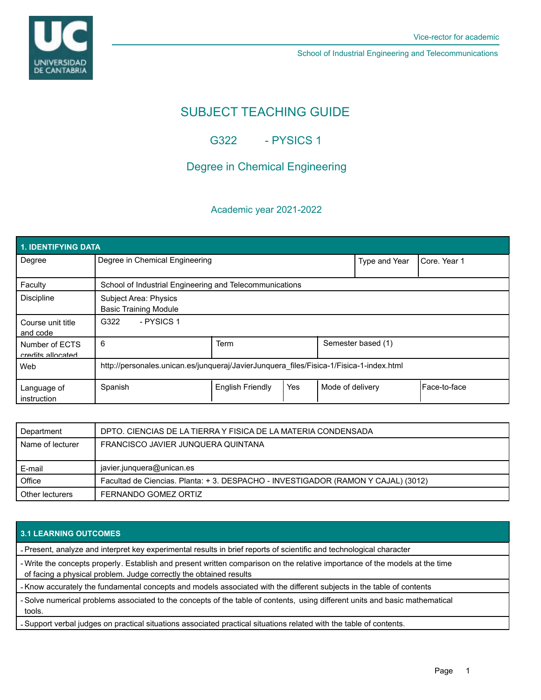**UNIVERSIDAD** DE CANTABRIA

School of Industrial Engineering and Telecommunications

# SUBJECT TEACHING GUIDE

G322 - PYSICS 1

## Degree in Chemical Engineering

### Academic year 2021-2022

| <b>1. IDENTIFYING DATA</b>          |                                                                                         |                         |     |                    |                       |              |  |  |  |
|-------------------------------------|-----------------------------------------------------------------------------------------|-------------------------|-----|--------------------|-----------------------|--------------|--|--|--|
| Degree                              | Degree in Chemical Engineering                                                          |                         |     | Type and Year      | <b>I</b> Core. Year 1 |              |  |  |  |
| Faculty                             | School of Industrial Engineering and Telecommunications                                 |                         |     |                    |                       |              |  |  |  |
| <b>Discipline</b>                   | Subject Area: Physics<br><b>Basic Training Module</b>                                   |                         |     |                    |                       |              |  |  |  |
| Course unit title<br>and code       | - PYSICS 1<br>G322                                                                      |                         |     |                    |                       |              |  |  |  |
| Number of ECTS<br>credits allocated | 6                                                                                       | Term                    |     | Semester based (1) |                       |              |  |  |  |
| Web                                 | http://personales.unican.es/junqueraj/JavierJunquera files/Fisica-1/Fisica-1-index.html |                         |     |                    |                       |              |  |  |  |
| Language of<br>instruction          | Spanish                                                                                 | <b>English Friendly</b> | Yes | Mode of delivery   |                       | Face-to-face |  |  |  |

| Department       | DPTO. CIENCIAS DE LA TIERRA Y FISICA DE LA MATERIA CONDENSADA                     |  |  |
|------------------|-----------------------------------------------------------------------------------|--|--|
| Name of lecturer | FRANCISCO JAVIER JUNQUERA QUINTANA                                                |  |  |
|                  |                                                                                   |  |  |
|                  |                                                                                   |  |  |
| E-mail           | javier.junquera@unican.es                                                         |  |  |
| Office           | Facultad de Ciencias. Planta: + 3. DESPACHO - INVESTIGADOR (RAMON Y CAJAL) (3012) |  |  |

#### **3.1 LEARNING OUTCOMES**

- Present, analyze and interpret key experimental results in brief reports of scientific and technological character

- Write the concepts properly. Establish and present written comparison on the relative importance of the models at the time of facing a physical problem. Judge correctly the obtained results

- Know accurately the fundamental concepts and models associated with the different subjects in the table of contents

- Solve numerical problems associated to the concepts of the table of contents, using different units and basic mathematical tools.

- Support verbal judges on practical situations associated practical situations related with the table of contents.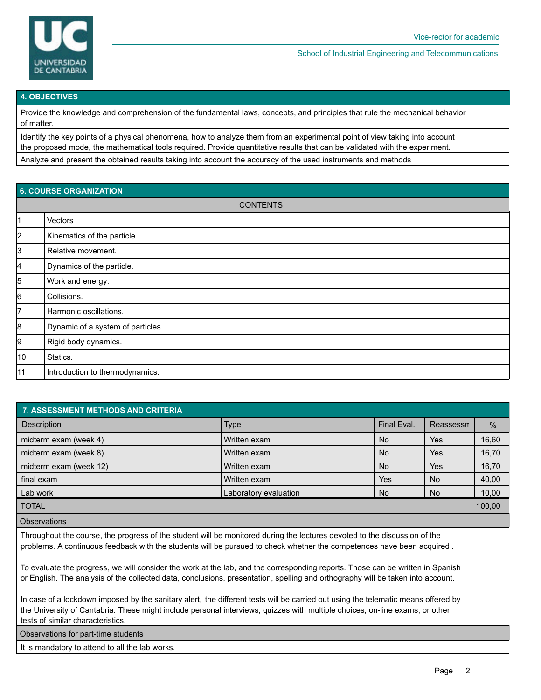

School of Industrial Engineering and Telecommunications

#### **4. OBJECTIVES**

Provide the knowledge and comprehension of the fundamental laws, concepts, and principles that rule the mechanical behavior of matter.

Identify the key points of a physical phenomena, how to analyze them from an experimental point of view taking into account the proposed mode, the mathematical tools required. Provide quantitative results that can be validated with the experiment.

Analyze and present the obtained results taking into account the accuracy of the used instruments and methods

| <b>6. COURSE ORGANIZATION</b> |                                   |  |  |  |
|-------------------------------|-----------------------------------|--|--|--|
| <b>CONTENTS</b>               |                                   |  |  |  |
| 11                            | Vectors                           |  |  |  |
| $\vert$ 2                     | Kinematics of the particle.       |  |  |  |
| 3                             | Relative movement.                |  |  |  |
| 4                             | Dynamics of the particle.         |  |  |  |
| 5                             | Work and energy.                  |  |  |  |
| 6                             | Collisions.                       |  |  |  |
| 7                             | Harmonic oscillations.            |  |  |  |
| 8                             | Dynamic of a system of particles. |  |  |  |
| 9                             | Rigid body dynamics.              |  |  |  |
| 10                            | Statics.                          |  |  |  |
| 11                            | Introduction to thermodynamics.   |  |  |  |

| <b>7. ASSESSMENT METHODS AND CRITERIA</b> |                       |             |            |        |  |  |  |  |
|-------------------------------------------|-----------------------|-------------|------------|--------|--|--|--|--|
| <b>Description</b>                        | <b>Type</b>           | Final Eval. | Reassessn  | $\%$   |  |  |  |  |
| midterm exam (week 4)                     | Written exam          | <b>No</b>   | <b>Yes</b> | 16,60  |  |  |  |  |
| midterm exam (week 8)                     | Written exam          | <b>No</b>   | <b>Yes</b> | 16,70  |  |  |  |  |
| midterm exam (week 12)                    | Written exam          | <b>No</b>   | <b>Yes</b> | 16,70  |  |  |  |  |
| final exam                                | Written exam          | Yes         | No.        | 40,00  |  |  |  |  |
| Lab work                                  | Laboratory evaluation | No.         | No.        | 10,00  |  |  |  |  |
| <b>TOTAL</b>                              |                       |             |            | 100,00 |  |  |  |  |
| <b>Observations</b>                       |                       |             |            |        |  |  |  |  |

Throughout the course, the progress of the student will be monitored during the lectures devoted to the discussion of the problems. A continuous feedback with the students will be pursued to check whether the competences have been acquired .

To evaluate the progress, we will consider the work at the lab, and the corresponding reports. Those can be written in Spanish or English. The analysis of the collected data, conclusions, presentation, spelling and orthography will be taken into account.

In case of a lockdown imposed by the sanitary alert, the different tests will be carried out using the telematic means offered by the University of Cantabria. These might include personal interviews, quizzes with multiple choices, on-line exams, or other tests of similar characteristics.

Observations for part-time students

It is mandatory to attend to all the lab works.